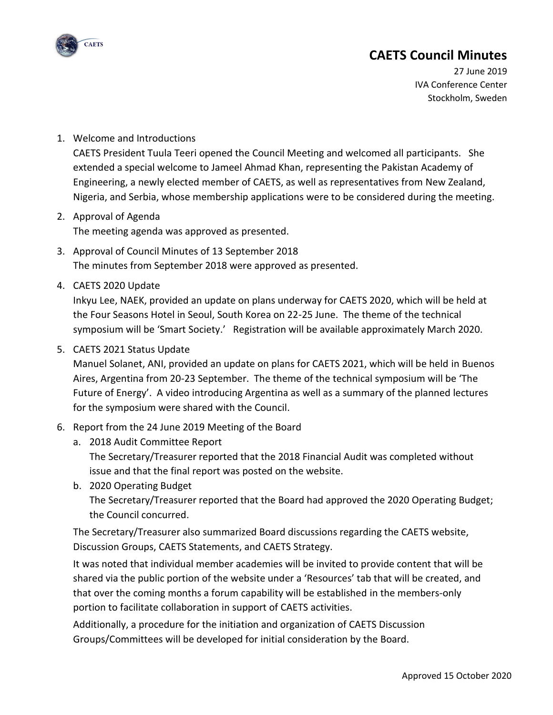

# **CAETS Council Minutes**

27 June 2019 IVA Conference Center Stockholm, Sweden

#### 1. Welcome and Introductions

CAETS President Tuula Teeri opened the Council Meeting and welcomed all participants. She extended a special welcome to Jameel Ahmad Khan, representing the Pakistan Academy of Engineering, a newly elected member of CAETS, as well as representatives from New Zealand, Nigeria, and Serbia, whose membership applications were to be considered during the meeting.

#### 2. Approval of Agenda The meeting agenda was approved as presented.

- 3. Approval of Council Minutes of 13 September 2018 The minutes from September 2018 were approved as presented.
- 4. CAETS 2020 Update

Inkyu Lee, NAEK, provided an update on plans underway for CAETS 2020, which will be held at the Four Seasons Hotel in Seoul, South Korea on 22-25 June. The theme of the technical symposium will be 'Smart Society.' Registration will be available approximately March 2020.

#### 5. CAETS 2021 Status Update

Manuel Solanet, ANI, provided an update on plans for CAETS 2021, which will be held in Buenos Aires, Argentina from 20-23 September. The theme of the technical symposium will be 'The Future of Energy'. A video introducing Argentina as well as a summary of the planned lectures for the symposium were shared with the Council.

- 6. Report from the 24 June 2019 Meeting of the Board
	- a. 2018 Audit Committee Report The Secretary/Treasurer reported that the 2018 Financial Audit was completed without issue and that the final report was posted on the website.
	- b. 2020 Operating Budget

The Secretary/Treasurer reported that the Board had approved the 2020 Operating Budget; the Council concurred.

The Secretary/Treasurer also summarized Board discussions regarding the CAETS website, Discussion Groups, CAETS Statements, and CAETS Strategy.

It was noted that individual member academies will be invited to provide content that will be shared via the public portion of the website under a 'Resources' tab that will be created, and that over the coming months a forum capability will be established in the members-only portion to facilitate collaboration in support of CAETS activities.

Additionally, a procedure for the initiation and organization of CAETS Discussion Groups/Committees will be developed for initial consideration by the Board.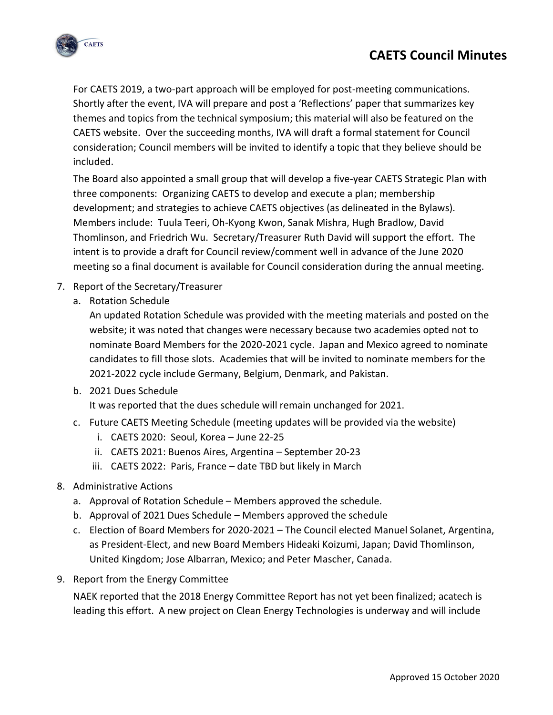



For CAETS 2019, a two-part approach will be employed for post-meeting communications. Shortly after the event, IVA will prepare and post a 'Reflections' paper that summarizes key themes and topics from the technical symposium; this material will also be featured on the CAETS website. Over the succeeding months, IVA will draft a formal statement for Council consideration; Council members will be invited to identify a topic that they believe should be included.

The Board also appointed a small group that will develop a five-year CAETS Strategic Plan with three components: Organizing CAETS to develop and execute a plan; membership development; and strategies to achieve CAETS objectives (as delineated in the Bylaws). Members include: Tuula Teeri, Oh-Kyong Kwon, Sanak Mishra, Hugh Bradlow, David Thomlinson, and Friedrich Wu. Secretary/Treasurer Ruth David will support the effort. The intent is to provide a draft for Council review/comment well in advance of the June 2020 meeting so a final document is available for Council consideration during the annual meeting.

- 7. Report of the Secretary/Treasurer
	- a. Rotation Schedule

An updated Rotation Schedule was provided with the meeting materials and posted on the website; it was noted that changes were necessary because two academies opted not to nominate Board Members for the 2020-2021 cycle. Japan and Mexico agreed to nominate candidates to fill those slots. Academies that will be invited to nominate members for the 2021-2022 cycle include Germany, Belgium, Denmark, and Pakistan.

b. 2021 Dues Schedule

It was reported that the dues schedule will remain unchanged for 2021.

- c. Future CAETS Meeting Schedule (meeting updates will be provided via the website)
	- i. CAETS 2020: Seoul, Korea June 22-25
	- ii. CAETS 2021: Buenos Aires, Argentina September 20-23
	- iii. CAETS 2022: Paris, France date TBD but likely in March
- 8. Administrative Actions
	- a. Approval of Rotation Schedule Members approved the schedule.
	- b. Approval of 2021 Dues Schedule Members approved the schedule
	- c. Election of Board Members for 2020-2021 The Council elected Manuel Solanet, Argentina, as President-Elect, and new Board Members Hideaki Koizumi, Japan; David Thomlinson, United Kingdom; Jose Albarran, Mexico; and Peter Mascher, Canada.
- 9. Report from the Energy Committee

NAEK reported that the 2018 Energy Committee Report has not yet been finalized; acatech is leading this effort. A new project on Clean Energy Technologies is underway and will include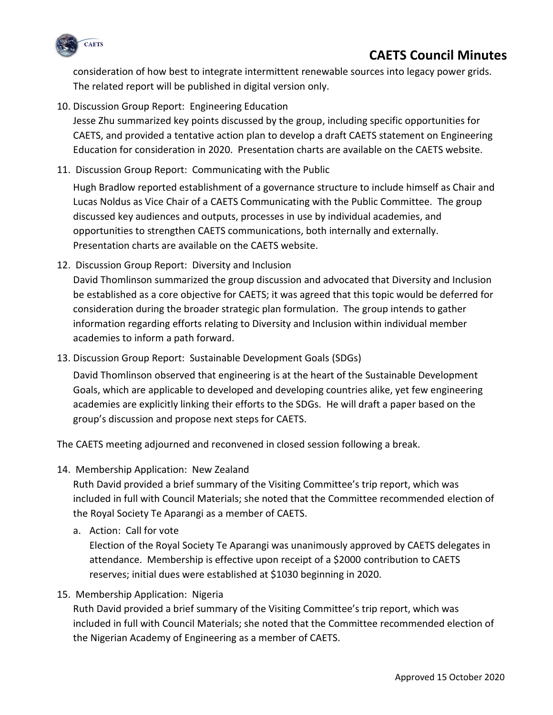

## **CAETS Council Minutes**

consideration of how best to integrate intermittent renewable sources into legacy power grids. The related report will be published in digital version only.

10. Discussion Group Report: Engineering Education

Jesse Zhu summarized key points discussed by the group, including specific opportunities for CAETS, and provided a tentative action plan to develop a draft CAETS statement on Engineering Education for consideration in 2020. Presentation charts are available on the CAETS website.

11. Discussion Group Report: Communicating with the Public

Hugh Bradlow reported establishment of a governance structure to include himself as Chair and Lucas Noldus as Vice Chair of a CAETS Communicating with the Public Committee. The group discussed key audiences and outputs, processes in use by individual academies, and opportunities to strengthen CAETS communications, both internally and externally. Presentation charts are available on the CAETS website.

12. Discussion Group Report: Diversity and Inclusion

David Thomlinson summarized the group discussion and advocated that Diversity and Inclusion be established as a core objective for CAETS; it was agreed that this topic would be deferred for consideration during the broader strategic plan formulation. The group intends to gather information regarding efforts relating to Diversity and Inclusion within individual member academies to inform a path forward.

13. Discussion Group Report: Sustainable Development Goals (SDGs)

David Thomlinson observed that engineering is at the heart of the Sustainable Development Goals, which are applicable to developed and developing countries alike, yet few engineering academies are explicitly linking their efforts to the SDGs. He will draft a paper based on the group's discussion and propose next steps for CAETS.

The CAETS meeting adjourned and reconvened in closed session following a break.

14. Membership Application: New Zealand

Ruth David provided a brief summary of the Visiting Committee's trip report, which was included in full with Council Materials; she noted that the Committee recommended election of the Royal Society Te Aparangi as a member of CAETS.

a. Action: Call for vote

Election of the Royal Society Te Aparangi was unanimously approved by CAETS delegates in attendance. Membership is effective upon receipt of a \$2000 contribution to CAETS reserves; initial dues were established at \$1030 beginning in 2020.

15. Membership Application: Nigeria

Ruth David provided a brief summary of the Visiting Committee's trip report, which was included in full with Council Materials; she noted that the Committee recommended election of the Nigerian Academy of Engineering as a member of CAETS.